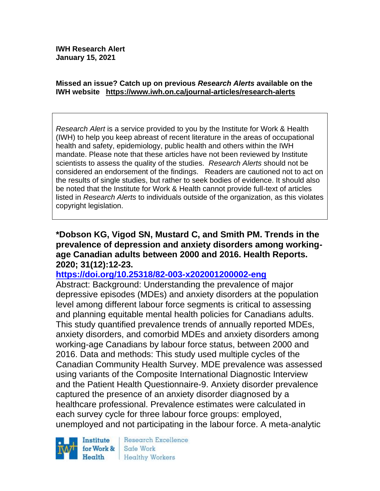**IWH Research Alert January 15, 2021**

#### **Missed an issue? Catch up on previous** *Research Alerts* **available on the [IWH website](http://www.iwh.on.ca/research-alerts) <https://www.iwh.on.ca/journal-articles/research-alerts>**

*Research Alert* is a service provided to you by the Institute for Work & Health (IWH) to help you keep abreast of recent literature in the areas of occupational health and safety, epidemiology, public health and others within the IWH mandate. Please note that these articles have not been reviewed by Institute scientists to assess the quality of the studies. *Research Alerts* should not be considered an endorsement of the findings. Readers are cautioned not to act on the results of single studies, but rather to seek bodies of evidence. It should also be noted that the Institute for Work & Health cannot provide full-text of articles listed in *Research Alerts* to individuals outside of the organization, as this violates copyright legislation.

#### **\*Dobson KG, Vigod SN, Mustard C, and Smith PM. Trends in the prevalence of depression and anxiety disorders among workingage Canadian adults between 2000 and 2016. Health Reports. 2020; 31(12):12-23.**

#### **<https://doi.org/10.25318/82-003-x202001200002-eng>**

Abstract: Background: Understanding the prevalence of major depressive episodes (MDEs) and anxiety disorders at the population level among different labour force segments is critical to assessing and planning equitable mental health policies for Canadians adults. This study quantified prevalence trends of annually reported MDEs, anxiety disorders, and comorbid MDEs and anxiety disorders among working-age Canadians by labour force status, between 2000 and 2016. Data and methods: This study used multiple cycles of the Canadian Community Health Survey. MDE prevalence was assessed using variants of the Composite International Diagnostic Interview and the Patient Health Questionnaire-9. Anxiety disorder prevalence captured the presence of an anxiety disorder diagnosed by a healthcare professional. Prevalence estimates were calculated in each survey cycle for three labour force groups: employed, unemployed and not participating in the labour force. A meta-analytic

Institute for Work & Health

Research Excellence Safe Work Healthy Workers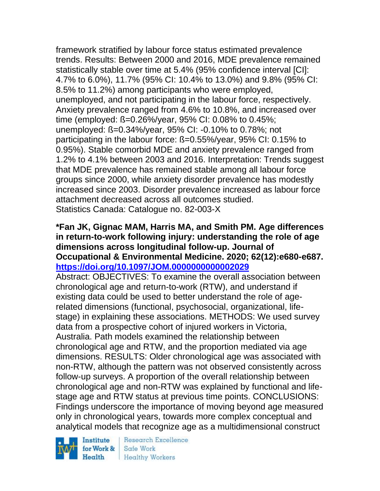framework stratified by labour force status estimated prevalence trends. Results: Between 2000 and 2016, MDE prevalence remained statistically stable over time at 5.4% (95% confidence interval [CI]: 4.7% to 6.0%), 11.7% (95% CI: 10.4% to 13.0%) and 9.8% (95% CI: 8.5% to 11.2%) among participants who were employed, unemployed, and not participating in the labour force, respectively. Anxiety prevalence ranged from 4.6% to 10.8%, and increased over time (employed: ß=0.26%/year, 95% CI: 0.08% to 0.45%; unemployed: ß=0.34%/year, 95% CI: -0.10% to 0.78%; not participating in the labour force: ß=0.55%/year, 95% CI: 0.15% to 0.95%). Stable comorbid MDE and anxiety prevalence ranged from 1.2% to 4.1% between 2003 and 2016. Interpretation: Trends suggest that MDE prevalence has remained stable among all labour force groups since 2000, while anxiety disorder prevalence has modestly increased since 2003. Disorder prevalence increased as labour force attachment decreased across all outcomes studied. Statistics Canada: Catalogue no. 82-003-X

### **\*Fan JK, Gignac MAM, Harris MA, and Smith PM. Age differences in return-to-work following injury: understanding the role of age dimensions across longitudinal follow-up. Journal of Occupational & Environmental Medicine. 2020; 62(12):e680-e687. <https://doi.org/10.1097/JOM.0000000000002029>**

Abstract: OBJECTIVES: To examine the overall association between chronological age and return-to-work (RTW), and understand if existing data could be used to better understand the role of agerelated dimensions (functional, psychosocial, organizational, lifestage) in explaining these associations. METHODS: We used survey data from a prospective cohort of injured workers in Victoria, Australia. Path models examined the relationship between chronological age and RTW, and the proportion mediated via age dimensions. RESULTS: Older chronological age was associated with non-RTW, although the pattern was not observed consistently across follow-up surveys. A proportion of the overall relationship between chronological age and non-RTW was explained by functional and lifestage age and RTW status at previous time points. CONCLUSIONS: Findings underscore the importance of moving beyond age measured only in chronological years, towards more complex conceptual and analytical models that recognize age as a multidimensional construct

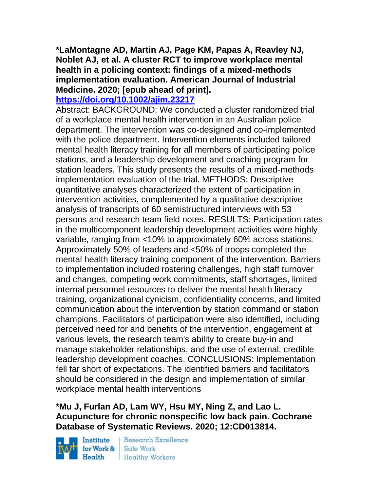**\*LaMontagne AD, Martin AJ, Page KM, Papas A, Reavley NJ, Noblet AJ, et al. A cluster RCT to improve workplace mental health in a policing context: findings of a mixed-methods implementation evaluation. American Journal of Industrial Medicine. 2020; [epub ahead of print].**

### **<https://doi.org/10.1002/ajim.23217>**

Abstract: BACKGROUND: We conducted a cluster randomized trial of a workplace mental health intervention in an Australian police department. The intervention was co-designed and co-implemented with the police department. Intervention elements included tailored mental health literacy training for all members of participating police stations, and a leadership development and coaching program for station leaders. This study presents the results of a mixed-methods implementation evaluation of the trial. METHODS: Descriptive quantitative analyses characterized the extent of participation in intervention activities, complemented by a qualitative descriptive analysis of transcripts of 60 semistructured interviews with 53 persons and research team field notes. RESULTS: Participation rates in the multicomponent leadership development activities were highly variable, ranging from <10% to approximately 60% across stations. Approximately 50% of leaders and <50% of troops completed the mental health literacy training component of the intervention. Barriers to implementation included rostering challenges, high staff turnover and changes, competing work commitments, staff shortages, limited internal personnel resources to deliver the mental health literacy training, organizational cynicism, confidentiality concerns, and limited communication about the intervention by station command or station champions. Facilitators of participation were also identified, including perceived need for and benefits of the intervention, engagement at various levels, the research team's ability to create buy-in and manage stakeholder relationships, and the use of external, credible leadership development coaches. CONCLUSIONS: Implementation fell far short of expectations. The identified barriers and facilitators should be considered in the design and implementation of similar workplace mental health interventions

## **\*Mu J, Furlan AD, Lam WY, Hsu MY, Ning Z, and Lao L. Acupuncture for chronic nonspecific low back pain. Cochrane Database of Systematic Reviews. 2020; 12:CD013814.**

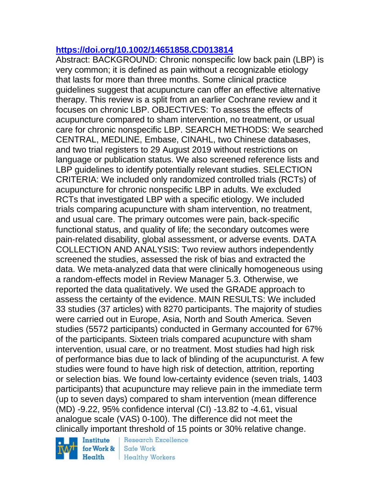## **<https://doi.org/10.1002/14651858.CD013814>**

Abstract: BACKGROUND: Chronic nonspecific low back pain (LBP) is very common; it is defined as pain without a recognizable etiology that lasts for more than three months. Some clinical practice guidelines suggest that acupuncture can offer an effective alternative therapy. This review is a split from an earlier Cochrane review and it focuses on chronic LBP. OBJECTIVES: To assess the effects of acupuncture compared to sham intervention, no treatment, or usual care for chronic nonspecific LBP. SEARCH METHODS: We searched CENTRAL, MEDLINE, Embase, CINAHL, two Chinese databases, and two trial registers to 29 August 2019 without restrictions on language or publication status. We also screened reference lists and LBP guidelines to identify potentially relevant studies. SELECTION CRITERIA: We included only randomized controlled trials (RCTs) of acupuncture for chronic nonspecific LBP in adults. We excluded RCTs that investigated LBP with a specific etiology. We included trials comparing acupuncture with sham intervention, no treatment, and usual care. The primary outcomes were pain, back-specific functional status, and quality of life; the secondary outcomes were pain-related disability, global assessment, or adverse events. DATA COLLECTION AND ANALYSIS: Two review authors independently screened the studies, assessed the risk of bias and extracted the data. We meta-analyzed data that were clinically homogeneous using a random-effects model in Review Manager 5.3. Otherwise, we reported the data qualitatively. We used the GRADE approach to assess the certainty of the evidence. MAIN RESULTS: We included 33 studies (37 articles) with 8270 participants. The majority of studies were carried out in Europe, Asia, North and South America. Seven studies (5572 participants) conducted in Germany accounted for 67% of the participants. Sixteen trials compared acupuncture with sham intervention, usual care, or no treatment. Most studies had high risk of performance bias due to lack of blinding of the acupuncturist. A few studies were found to have high risk of detection, attrition, reporting or selection bias. We found low-certainty evidence (seven trials, 1403 participants) that acupuncture may relieve pain in the immediate term (up to seven days) compared to sham intervention (mean difference (MD) -9.22, 95% confidence interval (CI) -13.82 to -4.61, visual analogue scale (VAS) 0-100). The difference did not meet the clinically important threshold of 15 points or 30% relative change.

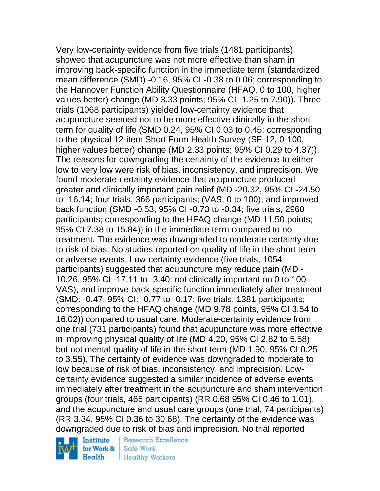Very low-certainty evidence from five trials (1481 participants) showed that acupuncture was not more effective than sham in improving back-specific function in the immediate term (standardized mean difference (SMD) -0.16, 95% CI -0.38 to 0.06; corresponding to the Hannover Function Ability Questionnaire (HFAQ, 0 to 100, higher values better) change (MD 3.33 points; 95% CI -1.25 to 7.90)). Three trials (1068 participants) yielded low-certainty evidence that acupuncture seemed not to be more effective clinically in the short term for quality of life (SMD 0.24, 95% CI 0.03 to 0.45; corresponding to the physical 12-item Short Form Health Survey (SF-12, 0-100, higher values better) change (MD 2.33 points; 95% CI 0.29 to 4.37)). The reasons for downgrading the certainty of the evidence to either low to very low were risk of bias, inconsistency, and imprecision. We found moderate-certainty evidence that acupuncture produced greater and clinically important pain relief (MD -20.32, 95% CI -24.50 to -16.14; four trials, 366 participants; (VAS, 0 to 100), and improved back function (SMD -0.53, 95% CI -0.73 to -0.34; five trials, 2960 participants; corresponding to the HFAQ change (MD 11.50 points; 95% CI 7.38 to 15.84)) in the immediate term compared to no treatment. The evidence was downgraded to moderate certainty due to risk of bias. No studies reported on quality of life in the short term or adverse events. Low-certainty evidence (five trials, 1054 participants) suggested that acupuncture may reduce pain (MD - 10.26, 95% CI -17.11 to -3.40; not clinically important on 0 to 100 VAS), and improve back-specific function immediately after treatment (SMD: -0.47; 95% CI: -0.77 to -0.17; five trials, 1381 participants; corresponding to the HFAQ change (MD 9.78 points, 95% CI 3.54 to 16.02)) compared to usual care. Moderate-certainty evidence from one trial (731 participants) found that acupuncture was more effective in improving physical quality of life (MD 4.20, 95% CI 2.82 to 5.58) but not mental quality of life in the short term (MD 1.90, 95% CI 0.25 to 3.55). The certainty of evidence was downgraded to moderate to low because of risk of bias, inconsistency, and imprecision. Lowcertainty evidence suggested a similar incidence of adverse events immediately after treatment in the acupuncture and sham intervention groups (four trials, 465 participants) (RR 0.68 95% CI 0.46 to 1.01), and the acupuncture and usual care groups (one trial, 74 participants) (RR 3.34, 95% CI 0.36 to 30.68). The certainty of the evidence was downgraded due to risk of bias and imprecision. No trial reported



**Research Excellence** Safe Work **Healthy Workers**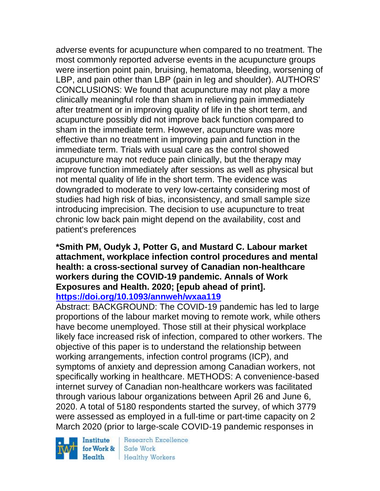adverse events for acupuncture when compared to no treatment. The most commonly reported adverse events in the acupuncture groups were insertion point pain, bruising, hematoma, bleeding, worsening of LBP, and pain other than LBP (pain in leg and shoulder). AUTHORS' CONCLUSIONS: We found that acupuncture may not play a more clinically meaningful role than sham in relieving pain immediately after treatment or in improving quality of life in the short term, and acupuncture possibly did not improve back function compared to sham in the immediate term. However, acupuncture was more effective than no treatment in improving pain and function in the immediate term. Trials with usual care as the control showed acupuncture may not reduce pain clinically, but the therapy may improve function immediately after sessions as well as physical but not mental quality of life in the short term. The evidence was downgraded to moderate to very low-certainty considering most of studies had high risk of bias, inconsistency, and small sample size introducing imprecision. The decision to use acupuncture to treat chronic low back pain might depend on the availability, cost and patient's preferences

#### **\*Smith PM, Oudyk J, Potter G, and Mustard C. Labour market attachment, workplace infection control procedures and mental health: a cross-sectional survey of Canadian non-healthcare workers during the COVID-19 pandemic. Annals of Work Exposures and Health. 2020; [epub ahead of print]. <https://doi.org/10.1093/annweh/wxaa119>**

Abstract: BACKGROUND: The COVID-19 pandemic has led to large proportions of the labour market moving to remote work, while others have become unemployed. Those still at their physical workplace likely face increased risk of infection, compared to other workers. The objective of this paper is to understand the relationship between working arrangements, infection control programs (ICP), and symptoms of anxiety and depression among Canadian workers, not specifically working in healthcare. METHODS: A convenience-based internet survey of Canadian non-healthcare workers was facilitated through various labour organizations between April 26 and June 6, 2020. A total of 5180 respondents started the survey, of which 3779 were assessed as employed in a full-time or part-time capacity on 2 March 2020 (prior to large-scale COVID-19 pandemic responses in

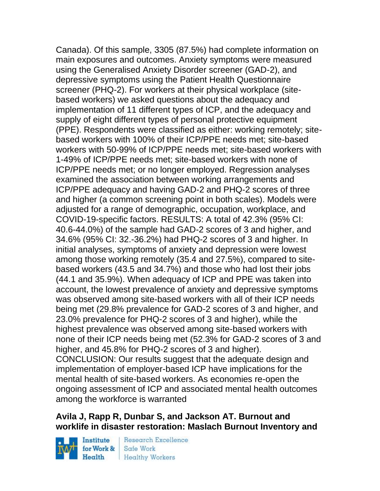Canada). Of this sample, 3305 (87.5%) had complete information on main exposures and outcomes. Anxiety symptoms were measured using the Generalised Anxiety Disorder screener (GAD-2), and depressive symptoms using the Patient Health Questionnaire screener (PHQ-2). For workers at their physical workplace (sitebased workers) we asked questions about the adequacy and implementation of 11 different types of ICP, and the adequacy and supply of eight different types of personal protective equipment (PPE). Respondents were classified as either: working remotely; sitebased workers with 100% of their ICP/PPE needs met; site-based workers with 50-99% of ICP/PPE needs met; site-based workers with 1-49% of ICP/PPE needs met; site-based workers with none of ICP/PPE needs met; or no longer employed. Regression analyses examined the association between working arrangements and ICP/PPE adequacy and having GAD-2 and PHQ-2 scores of three and higher (a common screening point in both scales). Models were adjusted for a range of demographic, occupation, workplace, and COVID-19-specific factors. RESULTS: A total of 42.3% (95% CI: 40.6-44.0%) of the sample had GAD-2 scores of 3 and higher, and 34.6% (95% CI: 32.-36.2%) had PHQ-2 scores of 3 and higher. In initial analyses, symptoms of anxiety and depression were lowest among those working remotely (35.4 and 27.5%), compared to sitebased workers (43.5 and 34.7%) and those who had lost their jobs (44.1 and 35.9%). When adequacy of ICP and PPE was taken into account, the lowest prevalence of anxiety and depressive symptoms was observed among site-based workers with all of their ICP needs being met (29.8% prevalence for GAD-2 scores of 3 and higher, and 23.0% prevalence for PHQ-2 scores of 3 and higher), while the highest prevalence was observed among site-based workers with none of their ICP needs being met (52.3% for GAD-2 scores of 3 and higher, and 45.8% for PHQ-2 scores of 3 and higher). CONCLUSION: Our results suggest that the adequate design and implementation of employer-based ICP have implications for the mental health of site-based workers. As economies re-open the ongoing assessment of ICP and associated mental health outcomes among the workforce is warranted

### **Avila J, Rapp R, Dunbar S, and Jackson AT. Burnout and worklife in disaster restoration: Maslach Burnout Inventory and**

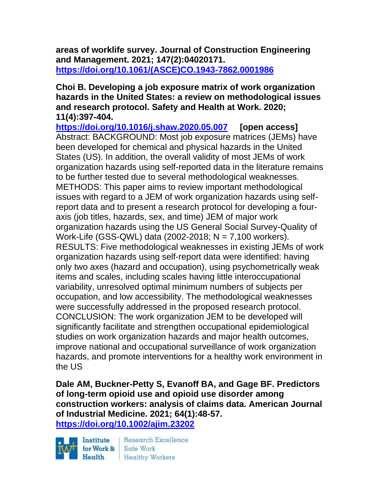**areas of worklife survey. Journal of Construction Engineering and Management. 2021; 147(2):04020171. [https://doi.org/10.1061/\(ASCE\)CO.1943-7862.0001986](https://doi.org/10.1061/(ASCE)CO.1943-7862.0001986)** 

**Choi B. Developing a job exposure matrix of work organization hazards in the United States: a review on methodological issues and research protocol. Safety and Health at Work. 2020; 11(4):397-404.** 

**<https://doi.org/10.1016/j.shaw.2020.05.007> [open access]** Abstract: BACKGROUND: Most job exposure matrices (JEMs) have been developed for chemical and physical hazards in the United States (US). In addition, the overall validity of most JEMs of work organization hazards using self-reported data in the literature remains to be further tested due to several methodological weaknesses. METHODS: This paper aims to review important methodological issues with regard to a JEM of work organization hazards using selfreport data and to present a research protocol for developing a fouraxis (job titles, hazards, sex, and time) JEM of major work organization hazards using the US General Social Survey-Quality of Work-Life (GSS-QWL) data (2002-2018; N = 7,100 workers). RESULTS: Five methodological weaknesses in existing JEMs of work organization hazards using self-report data were identified: having only two axes (hazard and occupation), using psychometrically weak items and scales, including scales having little interoccupational variability, unresolved optimal minimum numbers of subjects per occupation, and low accessibility. The methodological weaknesses were successfully addressed in the proposed research protocol. CONCLUSION: The work organization JEM to be developed will significantly facilitate and strengthen occupational epidemiological studies on work organization hazards and major health outcomes, improve national and occupational surveillance of work organization hazards, and promote interventions for a healthy work environment in the US

**Dale AM, Buckner-Petty S, Evanoff BA, and Gage BF. Predictors of long-term opioid use and opioid use disorder among construction workers: analysis of claims data. American Journal of Industrial Medicine. 2021; 64(1):48-57. <https://doi.org/10.1002/ajim.23202>** 

Institute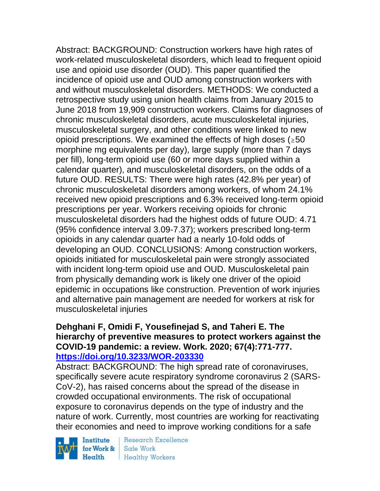Abstract: BACKGROUND: Construction workers have high rates of work-related musculoskeletal disorders, which lead to frequent opioid use and opioid use disorder (OUD). This paper quantified the incidence of opioid use and OUD among construction workers with and without musculoskeletal disorders. METHODS: We conducted a retrospective study using union health claims from January 2015 to June 2018 from 19,909 construction workers. Claims for diagnoses of chronic musculoskeletal disorders, acute musculoskeletal injuries, musculoskeletal surgery, and other conditions were linked to new opioid prescriptions. We examined the effects of high doses ( $\geq 50$ ) morphine mg equivalents per day), large supply (more than 7 days per fill), long-term opioid use (60 or more days supplied within a calendar quarter), and musculoskeletal disorders, on the odds of a future OUD. RESULTS: There were high rates (42.8% per year) of chronic musculoskeletal disorders among workers, of whom 24.1% received new opioid prescriptions and 6.3% received long-term opioid prescriptions per year. Workers receiving opioids for chronic musculoskeletal disorders had the highest odds of future OUD: 4.71 (95% confidence interval 3.09-7.37); workers prescribed long-term opioids in any calendar quarter had a nearly 10-fold odds of developing an OUD. CONCLUSIONS: Among construction workers, opioids initiated for musculoskeletal pain were strongly associated with incident long-term opioid use and OUD. Musculoskeletal pain from physically demanding work is likely one driver of the opioid epidemic in occupations like construction. Prevention of work injuries and alternative pain management are needed for workers at risk for musculoskeletal injuries

### **Dehghani F, Omidi F, Yousefinejad S, and Taheri E. The hierarchy of preventive measures to protect workers against the COVID-19 pandemic: a review. Work. 2020; 67(4):771-777. <https://doi.org/10.3233/WOR-203330>**

Abstract: BACKGROUND: The high spread rate of coronaviruses, specifically severe acute respiratory syndrome coronavirus 2 (SARS-CoV-2), has raised concerns about the spread of the disease in crowded occupational environments. The risk of occupational exposure to coronavirus depends on the type of industry and the nature of work. Currently, most countries are working for reactivating their economies and need to improve working conditions for a safe

Institute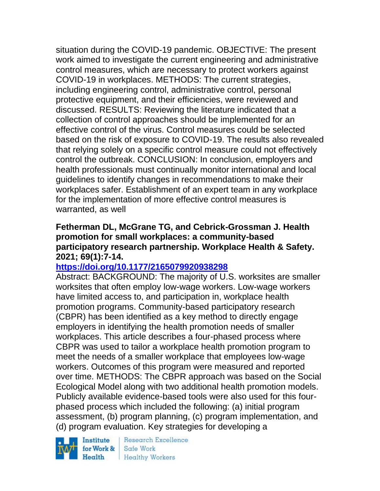situation during the COVID-19 pandemic. OBJECTIVE: The present work aimed to investigate the current engineering and administrative control measures, which are necessary to protect workers against COVID-19 in workplaces. METHODS: The current strategies, including engineering control, administrative control, personal protective equipment, and their efficiencies, were reviewed and discussed. RESULTS: Reviewing the literature indicated that a collection of control approaches should be implemented for an effective control of the virus. Control measures could be selected based on the risk of exposure to COVID-19. The results also revealed that relying solely on a specific control measure could not effectively control the outbreak. CONCLUSION: In conclusion, employers and health professionals must continually monitor international and local guidelines to identify changes in recommendations to make their workplaces safer. Establishment of an expert team in any workplace for the implementation of more effective control measures is warranted, as well

### **Fetherman DL, McGrane TG, and Cebrick-Grossman J. Health promotion for small workplaces: a community-based participatory research partnership. Workplace Health & Safety. 2021; 69(1):7-14.**

## **<https://doi.org/10.1177/2165079920938298>**

Abstract: BACKGROUND: The majority of U.S. worksites are smaller worksites that often employ low-wage workers. Low-wage workers have limited access to, and participation in, workplace health promotion programs. Community-based participatory research (CBPR) has been identified as a key method to directly engage employers in identifying the health promotion needs of smaller workplaces. This article describes a four-phased process where CBPR was used to tailor a workplace health promotion program to meet the needs of a smaller workplace that employees low-wage workers. Outcomes of this program were measured and reported over time. METHODS: The CBPR approach was based on the Social Ecological Model along with two additional health promotion models. Publicly available evidence-based tools were also used for this fourphased process which included the following: (a) initial program assessment, (b) program planning, (c) program implementation, and (d) program evaluation. Key strategies for developing a

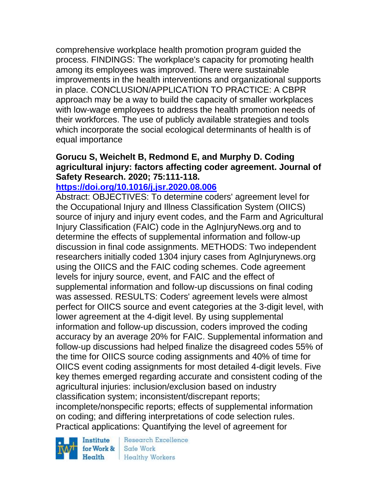comprehensive workplace health promotion program guided the process. FINDINGS: The workplace's capacity for promoting health among its employees was improved. There were sustainable improvements in the health interventions and organizational supports in place. CONCLUSION/APPLICATION TO PRACTICE: A CBPR approach may be a way to build the capacity of smaller workplaces with low-wage employees to address the health promotion needs of their workforces. The use of publicly available strategies and tools which incorporate the social ecological determinants of health is of equal importance

### **Gorucu S, Weichelt B, Redmond E, and Murphy D. Coding agricultural injury: factors affecting coder agreement. Journal of Safety Research. 2020; 75:111-118.**

#### **<https://doi.org/10.1016/j.jsr.2020.08.006>**

Abstract: OBJECTIVES: To determine coders' agreement level for the Occupational Injury and Illness Classification System (OIICS) source of injury and injury event codes, and the Farm and Agricultural Injury Classification (FAIC) code in the AgInjuryNews.org and to determine the effects of supplemental information and follow-up discussion in final code assignments. METHODS: Two independent researchers initially coded 1304 injury cases from AgInjurynews.org using the OIICS and the FAIC coding schemes. Code agreement levels for injury source, event, and FAIC and the effect of supplemental information and follow-up discussions on final coding was assessed. RESULTS: Coders' agreement levels were almost perfect for OIICS source and event categories at the 3-digit level, with lower agreement at the 4-digit level. By using supplemental information and follow-up discussion, coders improved the coding accuracy by an average 20% for FAIC. Supplemental information and follow-up discussions had helped finalize the disagreed codes 55% of the time for OIICS source coding assignments and 40% of time for OIICS event coding assignments for most detailed 4-digit levels. Five key themes emerged regarding accurate and consistent coding of the agricultural injuries: inclusion/exclusion based on industry classification system; inconsistent/discrepant reports; incomplete/nonspecific reports; effects of supplemental information on coding; and differing interpretations of code selection rules. Practical applications: Quantifying the level of agreement for

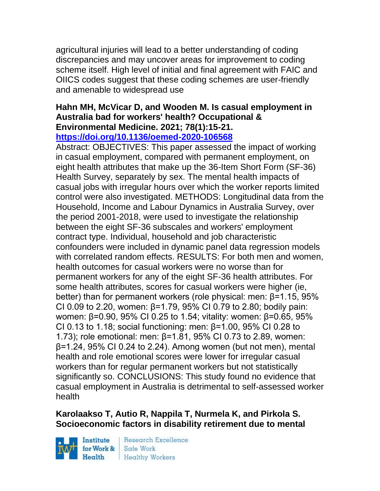agricultural injuries will lead to a better understanding of coding discrepancies and may uncover areas for improvement to coding scheme itself. High level of initial and final agreement with FAIC and OIICS codes suggest that these coding schemes are user-friendly and amenable to widespread use

#### **Hahn MH, McVicar D, and Wooden M. Is casual employment in Australia bad for workers' health? Occupational & Environmental Medicine. 2021; 78(1):15-21. <https://doi.org/10.1136/oemed-2020-106568>**

Abstract: OBJECTIVES: This paper assessed the impact of working in casual employment, compared with permanent employment, on eight health attributes that make up the 36-Item Short Form (SF-36) Health Survey, separately by sex. The mental health impacts of casual jobs with irregular hours over which the worker reports limited control were also investigated. METHODS: Longitudinal data from the Household, Income and Labour Dynamics in Australia Survey, over the period 2001-2018, were used to investigate the relationship between the eight SF-36 subscales and workers' employment contract type. Individual, household and job characteristic confounders were included in dynamic panel data regression models with correlated random effects. RESULTS: For both men and women, health outcomes for casual workers were no worse than for permanent workers for any of the eight SF-36 health attributes. For some health attributes, scores for casual workers were higher (ie, better) than for permanent workers (role physical: men: β=1.15, 95% CI 0.09 to 2.20, women: β=1.79, 95% CI 0.79 to 2.80; bodily pain: women: β=0.90, 95% CI 0.25 to 1.54; vitality: women: β=0.65, 95% CI 0.13 to 1.18; social functioning: men: β=1.00, 95% CI 0.28 to 1.73); role emotional: men: β=1.81, 95% CI 0.73 to 2.89, women:  $β=1.24$ , 95% CI 0.24 to 2.24). Among women (but not men), mental health and role emotional scores were lower for irregular casual workers than for regular permanent workers but not statistically significantly so. CONCLUSIONS: This study found no evidence that casual employment in Australia is detrimental to self-assessed worker health

## **Karolaakso T, Autio R, Nappila T, Nurmela K, and Pirkola S. Socioeconomic factors in disability retirement due to mental**

Institute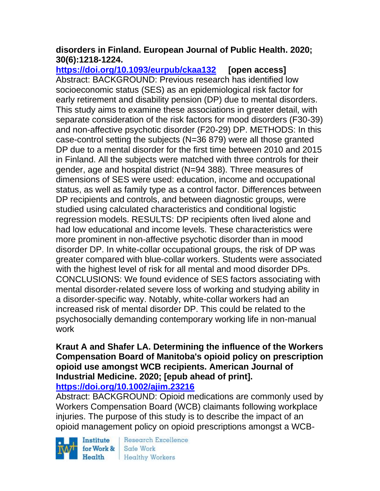## **disorders in Finland. European Journal of Public Health. 2020; 30(6):1218-1224.**

**<https://doi.org/10.1093/eurpub/ckaa132> [open access]** Abstract: BACKGROUND: Previous research has identified low socioeconomic status (SES) as an epidemiological risk factor for early retirement and disability pension (DP) due to mental disorders. This study aims to examine these associations in greater detail, with separate consideration of the risk factors for mood disorders (F30-39) and non-affective psychotic disorder (F20-29) DP. METHODS: In this case-control setting the subjects (N=36 879) were all those granted DP due to a mental disorder for the first time between 2010 and 2015 in Finland. All the subjects were matched with three controls for their gender, age and hospital district (N=94 388). Three measures of dimensions of SES were used: education, income and occupational status, as well as family type as a control factor. Differences between DP recipients and controls, and between diagnostic groups, were studied using calculated characteristics and conditional logistic regression models. RESULTS: DP recipients often lived alone and had low educational and income levels. These characteristics were more prominent in non-affective psychotic disorder than in mood disorder DP. In white-collar occupational groups, the risk of DP was greater compared with blue-collar workers. Students were associated with the highest level of risk for all mental and mood disorder DPs. CONCLUSIONS: We found evidence of SES factors associating with mental disorder-related severe loss of working and studying ability in a disorder-specific way. Notably, white-collar workers had an increased risk of mental disorder DP. This could be related to the psychosocially demanding contemporary working life in non-manual work

# **Kraut A and Shafer LA. Determining the influence of the Workers Compensation Board of Manitoba's opioid policy on prescription opioid use amongst WCB recipients. American Journal of Industrial Medicine. 2020; [epub ahead of print].**

**<https://doi.org/10.1002/ajim.23216>** 

Abstract: BACKGROUND: Opioid medications are commonly used by Workers Compensation Board (WCB) claimants following workplace injuries. The purpose of this study is to describe the impact of an opioid management policy on opioid prescriptions amongst a WCB-

Institute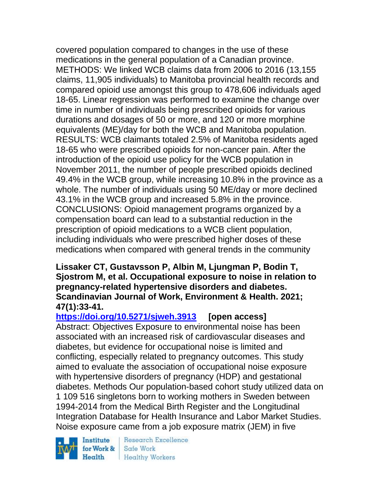covered population compared to changes in the use of these medications in the general population of a Canadian province. METHODS: We linked WCB claims data from 2006 to 2016 (13,155 claims, 11,905 individuals) to Manitoba provincial health records and compared opioid use amongst this group to 478,606 individuals aged 18-65. Linear regression was performed to examine the change over time in number of individuals being prescribed opioids for various durations and dosages of 50 or more, and 120 or more morphine equivalents (ME)/day for both the WCB and Manitoba population. RESULTS: WCB claimants totaled 2.5% of Manitoba residents aged 18-65 who were prescribed opioids for non-cancer pain. After the introduction of the opioid use policy for the WCB population in November 2011, the number of people prescribed opioids declined 49.4% in the WCB group, while increasing 10.8% in the province as a whole. The number of individuals using 50 ME/day or more declined 43.1% in the WCB group and increased 5.8% in the province. CONCLUSIONS: Opioid management programs organized by a compensation board can lead to a substantial reduction in the prescription of opioid medications to a WCB client population, including individuals who were prescribed higher doses of these medications when compared with general trends in the community

### **Lissaker CT, Gustavsson P, Albin M, Ljungman P, Bodin T, Sjostrom M, et al. Occupational exposure to noise in relation to pregnancy-related hypertensive disorders and diabetes. Scandinavian Journal of Work, Environment & Health. 2021; 47(1):33-41.**

## **<https://doi.org/10.5271/sjweh.3913> [open access]**

Abstract: Objectives Exposure to environmental noise has been associated with an increased risk of cardiovascular diseases and diabetes, but evidence for occupational noise is limited and conflicting, especially related to pregnancy outcomes. This study aimed to evaluate the association of occupational noise exposure with hypertensive disorders of pregnancy (HDP) and gestational diabetes. Methods Our population-based cohort study utilized data on 1 109 516 singletons born to working mothers in Sweden between 1994-2014 from the Medical Birth Register and the Longitudinal Integration Database for Health Insurance and Labor Market Studies. Noise exposure came from a job exposure matrix (JEM) in five

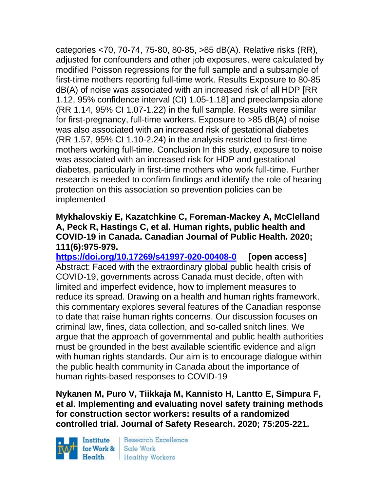categories <70, 70-74, 75-80, 80-85, >85 dB(A). Relative risks (RR), adjusted for confounders and other job exposures, were calculated by modified Poisson regressions for the full sample and a subsample of first-time mothers reporting full-time work. Results Exposure to 80-85 dB(A) of noise was associated with an increased risk of all HDP [RR 1.12, 95% confidence interval (CI) 1.05-1.18] and preeclampsia alone (RR 1.14, 95% CI 1.07-1.22) in the full sample. Results were similar for first-pregnancy, full-time workers. Exposure to >85 dB(A) of noise was also associated with an increased risk of gestational diabetes (RR 1.57, 95% CI 1.10-2.24) in the analysis restricted to first-time mothers working full-time. Conclusion In this study, exposure to noise was associated with an increased risk for HDP and gestational diabetes, particularly in first-time mothers who work full-time. Further research is needed to confirm findings and identify the role of hearing protection on this association so prevention policies can be implemented

### **Mykhalovskiy E, Kazatchkine C, Foreman-Mackey A, McClelland A, Peck R, Hastings C, et al. Human rights, public health and COVID-19 in Canada. Canadian Journal of Public Health. 2020; 111(6):975-979.**

**<https://doi.org/10.17269/s41997-020-00408-0> [open access]** Abstract: Faced with the extraordinary global public health crisis of COVID-19, governments across Canada must decide, often with limited and imperfect evidence, how to implement measures to reduce its spread. Drawing on a health and human rights framework, this commentary explores several features of the Canadian response to date that raise human rights concerns. Our discussion focuses on criminal law, fines, data collection, and so-called snitch lines. We argue that the approach of governmental and public health authorities must be grounded in the best available scientific evidence and align with human rights standards. Our aim is to encourage dialogue within the public health community in Canada about the importance of human rights-based responses to COVID-19

**Nykanen M, Puro V, Tiikkaja M, Kannisto H, Lantto E, Simpura F, et al. Implementing and evaluating novel safety training methods for construction sector workers: results of a randomized controlled trial. Journal of Safety Research. 2020; 75:205-221.** 

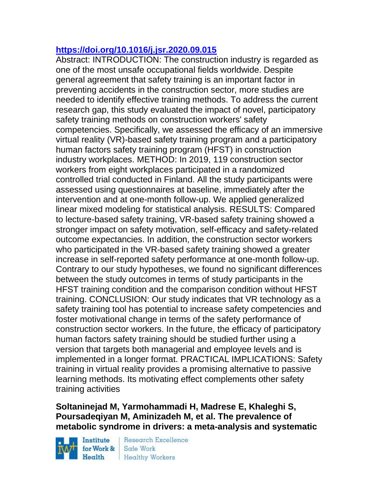## **<https://doi.org/10.1016/j.jsr.2020.09.015>**

Abstract: INTRODUCTION: The construction industry is regarded as one of the most unsafe occupational fields worldwide. Despite general agreement that safety training is an important factor in preventing accidents in the construction sector, more studies are needed to identify effective training methods. To address the current research gap, this study evaluated the impact of novel, participatory safety training methods on construction workers' safety competencies. Specifically, we assessed the efficacy of an immersive virtual reality (VR)-based safety training program and a participatory human factors safety training program (HFST) in construction industry workplaces. METHOD: In 2019, 119 construction sector workers from eight workplaces participated in a randomized controlled trial conducted in Finland. All the study participants were assessed using questionnaires at baseline, immediately after the intervention and at one-month follow-up. We applied generalized linear mixed modeling for statistical analysis. RESULTS: Compared to lecture-based safety training, VR-based safety training showed a stronger impact on safety motivation, self-efficacy and safety-related outcome expectancies. In addition, the construction sector workers who participated in the VR-based safety training showed a greater increase in self-reported safety performance at one-month follow-up. Contrary to our study hypotheses, we found no significant differences between the study outcomes in terms of study participants in the HFST training condition and the comparison condition without HFST training. CONCLUSION: Our study indicates that VR technology as a safety training tool has potential to increase safety competencies and foster motivational change in terms of the safety performance of construction sector workers. In the future, the efficacy of participatory human factors safety training should be studied further using a version that targets both managerial and employee levels and is implemented in a longer format. PRACTICAL IMPLICATIONS: Safety training in virtual reality provides a promising alternative to passive learning methods. Its motivating effect complements other safety training activities

## **Soltaninejad M, Yarmohammadi H, Madrese E, Khaleghi S, Poursadeqiyan M, Aminizadeh M, et al. The prevalence of metabolic syndrome in drivers: a meta-analysis and systematic**

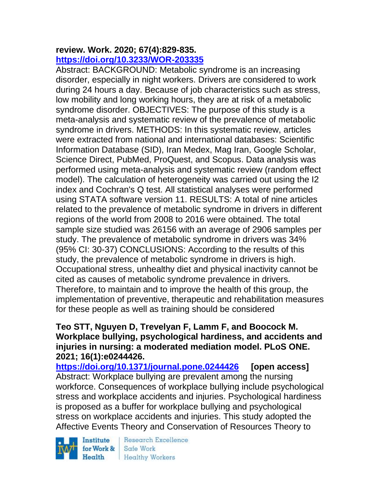#### **review. Work. 2020; 67(4):829-835. <https://doi.org/10.3233/WOR-203335>**

Abstract: BACKGROUND: Metabolic syndrome is an increasing disorder, especially in night workers. Drivers are considered to work during 24 hours a day. Because of job characteristics such as stress, low mobility and long working hours, they are at risk of a metabolic syndrome disorder. OBJECTIVES: The purpose of this study is a meta-analysis and systematic review of the prevalence of metabolic syndrome in drivers. METHODS: In this systematic review, articles were extracted from national and international databases: Scientific Information Database (SID), Iran Medex, Mag Iran, Google Scholar, Science Direct, PubMed, ProQuest, and Scopus. Data analysis was performed using meta-analysis and systematic review (random effect model). The calculation of heterogeneity was carried out using the I2 index and Cochran's Q test. All statistical analyses were performed using STATA software version 11. RESULTS: A total of nine articles related to the prevalence of metabolic syndrome in drivers in different regions of the world from 2008 to 2016 were obtained. The total sample size studied was 26156 with an average of 2906 samples per study. The prevalence of metabolic syndrome in drivers was 34% (95% CI: 30-37) CONCLUSIONS: According to the results of this study, the prevalence of metabolic syndrome in drivers is high. Occupational stress, unhealthy diet and physical inactivity cannot be cited as causes of metabolic syndrome prevalence in drivers. Therefore, to maintain and to improve the health of this group, the implementation of preventive, therapeutic and rehabilitation measures for these people as well as training should be considered

### **Teo STT, Nguyen D, Trevelyan F, Lamm F, and Boocock M. Workplace bullying, psychological hardiness, and accidents and injuries in nursing: a moderated mediation model. PLoS ONE. 2021; 16(1):e0244426.**

**<https://doi.org/10.1371/journal.pone.0244426> [open access]** Abstract: Workplace bullying are prevalent among the nursing workforce. Consequences of workplace bullying include psychological stress and workplace accidents and injuries. Psychological hardiness is proposed as a buffer for workplace bullying and psychological stress on workplace accidents and injuries. This study adopted the Affective Events Theory and Conservation of Resources Theory to

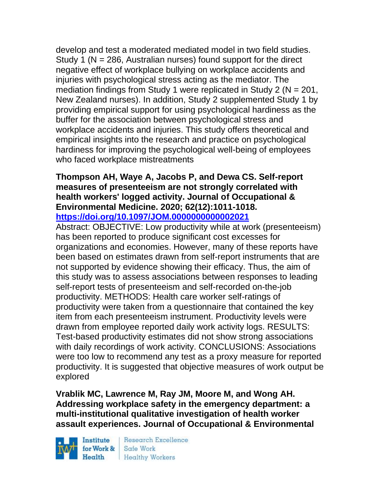develop and test a moderated mediated model in two field studies. Study 1 ( $N = 286$ , Australian nurses) found support for the direct negative effect of workplace bullying on workplace accidents and injuries with psychological stress acting as the mediator. The mediation findings from Study 1 were replicated in Study 2 (N = 201, New Zealand nurses). In addition, Study 2 supplemented Study 1 by providing empirical support for using psychological hardiness as the buffer for the association between psychological stress and workplace accidents and injuries. This study offers theoretical and empirical insights into the research and practice on psychological hardiness for improving the psychological well-being of employees who faced workplace mistreatments

#### **Thompson AH, Waye A, Jacobs P, and Dewa CS. Self-report measures of presenteeism are not strongly correlated with health workers' logged activity. Journal of Occupational & Environmental Medicine. 2020; 62(12):1011-1018. <https://doi.org/10.1097/JOM.0000000000002021>**

Abstract: OBJECTIVE: Low productivity while at work (presenteeism) has been reported to produce significant cost excesses for organizations and economies. However, many of these reports have been based on estimates drawn from self-report instruments that are not supported by evidence showing their efficacy. Thus, the aim of this study was to assess associations between responses to leading self-report tests of presenteeism and self-recorded on-the-job productivity. METHODS: Health care worker self-ratings of productivity were taken from a questionnaire that contained the key item from each presenteeism instrument. Productivity levels were drawn from employee reported daily work activity logs. RESULTS: Test-based productivity estimates did not show strong associations with daily recordings of work activity. CONCLUSIONS: Associations were too low to recommend any test as a proxy measure for reported productivity. It is suggested that objective measures of work output be explored

**Vrablik MC, Lawrence M, Ray JM, Moore M, and Wong AH. Addressing workplace safety in the emergency department: a multi-institutional qualitative investigation of health worker assault experiences. Journal of Occupational & Environmental** 

Institute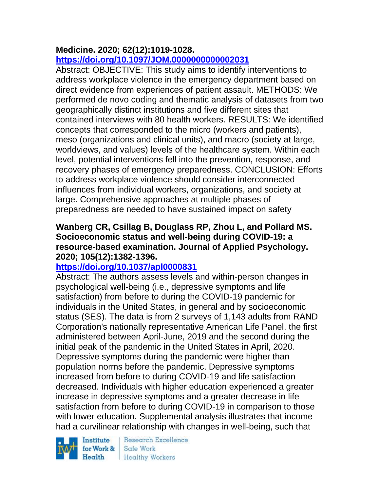## **Medicine. 2020; 62(12):1019-1028.**

## **<https://doi.org/10.1097/JOM.0000000000002031>**

Abstract: OBJECTIVE: This study aims to identify interventions to address workplace violence in the emergency department based on direct evidence from experiences of patient assault. METHODS: We performed de novo coding and thematic analysis of datasets from two geographically distinct institutions and five different sites that contained interviews with 80 health workers. RESULTS: We identified concepts that corresponded to the micro (workers and patients), meso (organizations and clinical units), and macro (society at large, worldviews, and values) levels of the healthcare system. Within each level, potential interventions fell into the prevention, response, and recovery phases of emergency preparedness. CONCLUSION: Efforts to address workplace violence should consider interconnected influences from individual workers, organizations, and society at large. Comprehensive approaches at multiple phases of preparedness are needed to have sustained impact on safety

### **Wanberg CR, Csillag B, Douglass RP, Zhou L, and Pollard MS. Socioeconomic status and well-being during COVID-19: a resource-based examination. Journal of Applied Psychology. 2020; 105(12):1382-1396.**

## **<https://doi.org/10.1037/apl0000831>**

Abstract: The authors assess levels and within-person changes in psychological well-being (i.e., depressive symptoms and life satisfaction) from before to during the COVID-19 pandemic for individuals in the United States, in general and by socioeconomic status (SES). The data is from 2 surveys of 1,143 adults from RAND Corporation's nationally representative American Life Panel, the first administered between April-June, 2019 and the second during the initial peak of the pandemic in the United States in April, 2020. Depressive symptoms during the pandemic were higher than population norms before the pandemic. Depressive symptoms increased from before to during COVID-19 and life satisfaction decreased. Individuals with higher education experienced a greater increase in depressive symptoms and a greater decrease in life satisfaction from before to during COVID-19 in comparison to those with lower education. Supplemental analysis illustrates that income had a curvilinear relationship with changes in well-being, such that